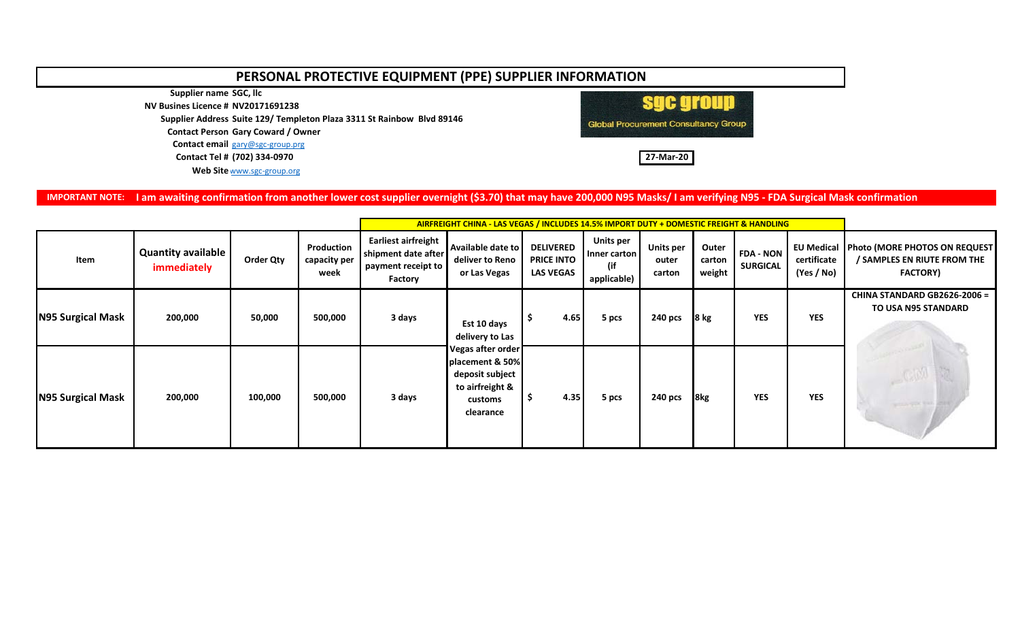## **PERSONAL PROTECTIVE EQUIPMENT (PPE) SUPPLIER INFORMATION**

**Supplier name SGC, llc**

**NV Busines Licence # NV20171691238**

**Supplier Address Suite 129/ Templeton Plaza 3311 St Rainbow Blvd 89146**

**Contact Person Gary Coward / Owner**

**Contact email** [gary@sgc-group.prg](mailto:gary@sgc-group.prg)

**Contact Tel # (702) 334-0970 27-Mar-20**

Web Site [www.sgc-group.org](http://www.sgc-group.org/)



**IMPORTANT NOTE: I am awaiting confirmation from another lower cost supplier overnight (\$3.70) that may have 200,000 N95 Masks/ I am verifying N95 - FDA Surgical Mask confirmation**

|                          |                                          |           |                                    | <b>AIRFREIGHT CHINA - LAS VEGAS / INCLUDES 14.5% IMPORT DUTY + DOMESTIC FREIGHT &amp; HANDLING</b> |                                                                                                                                      |                                                           |                                                 |                                     |                           |                                     |                                                |                                                                                        |
|--------------------------|------------------------------------------|-----------|------------------------------------|----------------------------------------------------------------------------------------------------|--------------------------------------------------------------------------------------------------------------------------------------|-----------------------------------------------------------|-------------------------------------------------|-------------------------------------|---------------------------|-------------------------------------|------------------------------------------------|----------------------------------------------------------------------------------------|
| Item                     | <b>Quantity available</b><br>immediately | Order Qty | Production<br>capacity per<br>week | <b>Earliest airfreight</b><br>shipment date after<br>payment receipt to<br>Factory                 | Available date to<br>deliver to Reno<br>or Las Vegas                                                                                 | <b>DELIVERED</b><br><b>PRICE INTO</b><br><b>LAS VEGAS</b> | Units per<br>Inner carton<br>(if<br>applicable) | <b>Units per</b><br>outer<br>carton | Outer<br>carton<br>weight | <b>FDA - NON</b><br><b>SURGICAL</b> | <b>EU Medical</b><br>certificate<br>(Yes / No) | <b>Photo (MORE PHOTOS ON REQUEST</b><br>/ SAMPLES EN RIUTE FROM THE<br><b>FACTORY)</b> |
| <b>N95 Surgical Mask</b> | 200,000                                  | 50,000    | 500,000                            | 3 days                                                                                             | Est 10 days<br>delivery to Las<br>Vegas after order<br>placement & 50%<br>deposit subject<br>to airfreight &<br>customs<br>clearance | 4.65                                                      | 5 pcs                                           | 240 pcs                             | $8$ kg                    | <b>YES</b>                          | <b>YES</b>                                     | CHINA STANDARD GB2626-2006 =<br><b>TO USA N95 STANDARD</b>                             |
| N95 Surgical Mask        | 200,000                                  | 100,000   | 500,000                            | 3 days                                                                                             |                                                                                                                                      | 4.35                                                      | 5 pcs                                           | 240 pcs                             | 8 <sub>kg</sub>           | <b>YES</b>                          | <b>YES</b>                                     |                                                                                        |